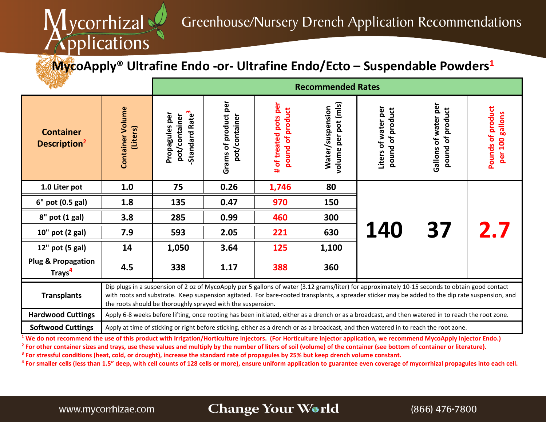

## **MycoApply® Ultrafine Endo -or- Ultrafine Endo/Ecto – Suspendable Powders1**

|                                                     |                                                                                                                                                                                                                                                                                                                                                                    | <b>Recommended Rates</b>                                      |                                       |                                              |                                          |                                         |                                          |                                         |  |
|-----------------------------------------------------|--------------------------------------------------------------------------------------------------------------------------------------------------------------------------------------------------------------------------------------------------------------------------------------------------------------------------------------------------------------------|---------------------------------------------------------------|---------------------------------------|----------------------------------------------|------------------------------------------|-----------------------------------------|------------------------------------------|-----------------------------------------|--|
| <b>Container</b><br>Description <sup>2</sup>        | <b>Container Volume</b><br>(Liters)                                                                                                                                                                                                                                                                                                                                | Standard Rate <sup>3</sup><br>Propagules per<br>pot/container | Grams of product per<br>pot/container | # of treated pots per<br>of product<br>pound | volume per pot (mls)<br>Water/suspension | Liters of water per<br>pound of product | Gallons of water per<br>pound of product | Pounds of product<br>100 gallons<br>per |  |
| 1.0 Liter pot                                       | 1.0                                                                                                                                                                                                                                                                                                                                                                | 75                                                            | 0.26                                  | 1,746                                        | 80                                       |                                         |                                          |                                         |  |
| 6" pot (0.5 gal)                                    | 1.8                                                                                                                                                                                                                                                                                                                                                                | 135                                                           | 0.47                                  | 970                                          | 150                                      | 140                                     | 37                                       | 2.7                                     |  |
| $8"$ pot $(1$ gal)                                  | 3.8                                                                                                                                                                                                                                                                                                                                                                | 285                                                           | 0.99                                  | 460                                          | 300                                      |                                         |                                          |                                         |  |
| 10" pot (2 gal)                                     | 7.9                                                                                                                                                                                                                                                                                                                                                                | 593                                                           | 2.05                                  | 221                                          | 630                                      |                                         |                                          |                                         |  |
| 12" pot (5 gal)                                     | 14                                                                                                                                                                                                                                                                                                                                                                 | 1,050                                                         | 3.64                                  | 125                                          | 1,100                                    |                                         |                                          |                                         |  |
| <b>Plug &amp; Propagation</b><br>Trays <sup>4</sup> | 4.5                                                                                                                                                                                                                                                                                                                                                                | 338                                                           | 1.17                                  | 388                                          | 360                                      |                                         |                                          |                                         |  |
| <b>Transplants</b>                                  | Dip plugs in a suspension of 2 oz of MycoApply per 5 gallons of water (3.12 grams/liter) for approximately 10-15 seconds to obtain good contact<br>with roots and substrate. Keep suspension agitated. For bare-rooted transplants, a spreader sticker may be added to the dip rate suspension, and<br>the roots should be thoroughly sprayed with the suspension. |                                                               |                                       |                                              |                                          |                                         |                                          |                                         |  |
| <b>Hardwood Cuttings</b>                            | Apply 6-8 weeks before lifting, once rooting has been initiated, either as a drench or as a broadcast, and then watered in to reach the root zone.                                                                                                                                                                                                                 |                                                               |                                       |                                              |                                          |                                         |                                          |                                         |  |
| <b>Softwood Cuttings</b>                            | Apply at time of sticking or right before sticking, either as a drench or as a broadcast, and then watered in to reach the root zone.                                                                                                                                                                                                                              |                                                               |                                       |                                              |                                          |                                         |                                          |                                         |  |

<sup>1</sup> We do not recommend the use of this product with Irrigation/Horticulture Injectors. (For Horticulture Injector application, we recommend MycoApply Injector Endo.) <sup>2</sup> For other container sizes and trays, use these values and multiply by the number of liters of soil (volume) of the container (see bottom of container or literature). **<sup>3</sup> For stressful conditions (heat, cold, or drought), increase the standard rate of propagules by 25% but keep drench volume constant.**

**<sup>4</sup> For smaller cells (less than 1.5" deep, with cell counts of 128 cells or more), ensure uniform application to guarantee even coverage of mycorrhizal propagules into each cell.**